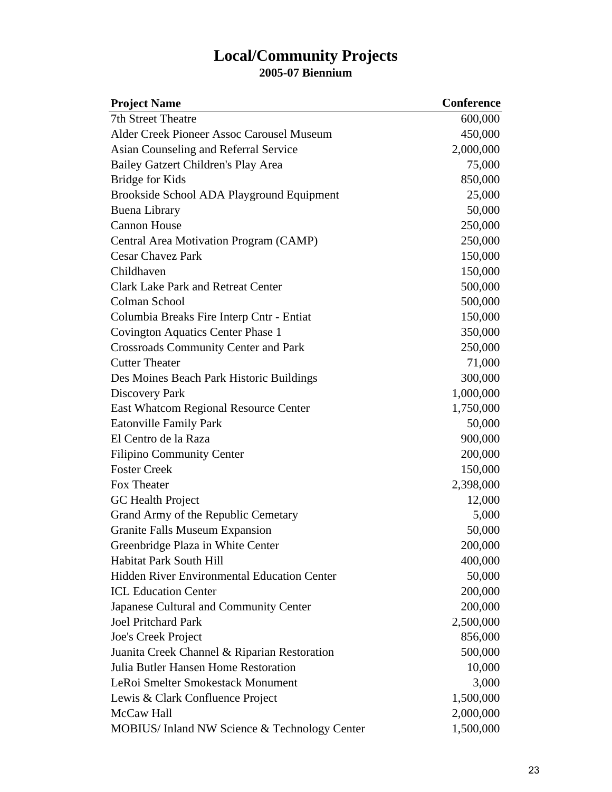## **Local/Community Projects 2005-07 Biennium**

| <b>Project Name</b>                                | <b>Conference</b> |
|----------------------------------------------------|-------------------|
| <b>7th Street Theatre</b>                          | 600,000           |
| Alder Creek Pioneer Assoc Carousel Museum          | 450,000           |
| Asian Counseling and Referral Service              | 2,000,000         |
| Bailey Gatzert Children's Play Area                | 75,000            |
| Bridge for Kids                                    | 850,000           |
| Brookside School ADA Playground Equipment          | 25,000            |
| <b>Buena Library</b>                               | 50,000            |
| <b>Cannon House</b>                                | 250,000           |
| Central Area Motivation Program (CAMP)             | 250,000           |
| <b>Cesar Chavez Park</b>                           | 150,000           |
| Childhaven                                         | 150,000           |
| <b>Clark Lake Park and Retreat Center</b>          | 500,000           |
| Colman School                                      | 500,000           |
| Columbia Breaks Fire Interp Cntr - Entiat          | 150,000           |
| <b>Covington Aquatics Center Phase 1</b>           | 350,000           |
| <b>Crossroads Community Center and Park</b>        | 250,000           |
| <b>Cutter Theater</b>                              | 71,000            |
| Des Moines Beach Park Historic Buildings           | 300,000           |
| Discovery Park                                     | 1,000,000         |
| <b>East Whatcom Regional Resource Center</b>       | 1,750,000         |
| <b>Eatonville Family Park</b>                      | 50,000            |
| El Centro de la Raza                               | 900,000           |
| <b>Filipino Community Center</b>                   | 200,000           |
| <b>Foster Creek</b>                                | 150,000           |
| Fox Theater                                        | 2,398,000         |
| GC Health Project                                  | 12,000            |
| Grand Army of the Republic Cemetary                | 5,000             |
| <b>Granite Falls Museum Expansion</b>              | 50,000            |
| Greenbridge Plaza in White Center                  | 200,000           |
| <b>Habitat Park South Hill</b>                     | 400,000           |
| <b>Hidden River Environmental Education Center</b> | 50,000            |
| <b>ICL Education Center</b>                        | 200,000           |
| Japanese Cultural and Community Center             | 200,000           |
| <b>Joel Pritchard Park</b>                         | 2,500,000         |
| Joe's Creek Project                                | 856,000           |
| Juanita Creek Channel & Riparian Restoration       | 500,000           |
| Julia Butler Hansen Home Restoration               | 10,000            |
| LeRoi Smelter Smokestack Monument                  | 3,000             |
| Lewis & Clark Confluence Project                   | 1,500,000         |
| McCaw Hall                                         | 2,000,000         |
| MOBIUS/ Inland NW Science & Technology Center      | 1,500,000         |